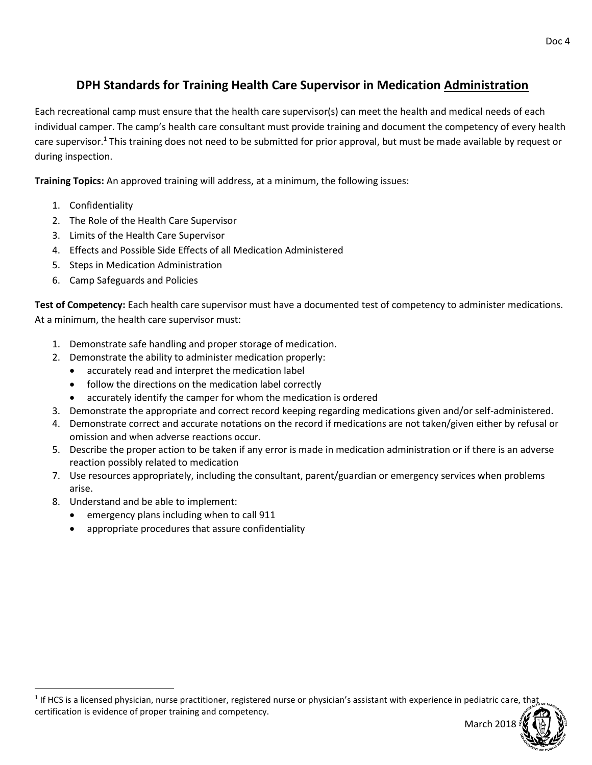## **DPH Standards for Training Health Care Supervisor in Medication Administration**

Each recreational camp must ensure that the health care supervisor(s) can meet the health and medical needs of each individual camper. The camp's health care consultant must provide training and document the competency of every health care supervisor.<sup>1</sup> This training does not need to be submitted for prior approval, but must be made available by request or during inspection.

**Training Topics:** An approved training will address, at a minimum, the following issues:

- 1. Confidentiality
- 2. The Role of the Health Care Supervisor
- 3. Limits of the Health Care Supervisor
- 4. Effects and Possible Side Effects of all Medication Administered
- 5. Steps in Medication Administration
- 6. Camp Safeguards and Policies

**Test of Competency:** Each health care supervisor must have a documented test of competency to administer medications. At a minimum, the health care supervisor must:

- 1. Demonstrate safe handling and proper storage of medication.
- 2. Demonstrate the ability to administer medication properly:
	- accurately read and interpret the medication label
	- follow the directions on the medication label correctly
	- accurately identify the camper for whom the medication is ordered
- 3. Demonstrate the appropriate and correct record keeping regarding medications given and/or self-administered.
- 4. Demonstrate correct and accurate notations on the record if medications are not taken/given either by refusal or omission and when adverse reactions occur.
- 5. Describe the proper action to be taken if any error is made in medication administration or if there is an adverse reaction possibly related to medication
- 7. Use resources appropriately, including the consultant, parent/guardian or emergency services when problems arise.
- 8. Understand and be able to implement:

 $\overline{a}$ 

- emergency plans including when to call 911
- appropriate procedures that assure confidentiality

<sup>&</sup>lt;sup>1</sup> If HCS is a licensed physician, nurse practitioner, registered nurse or physician's assistant with experience in pediatric care, that certification is evidence of proper training and competency.